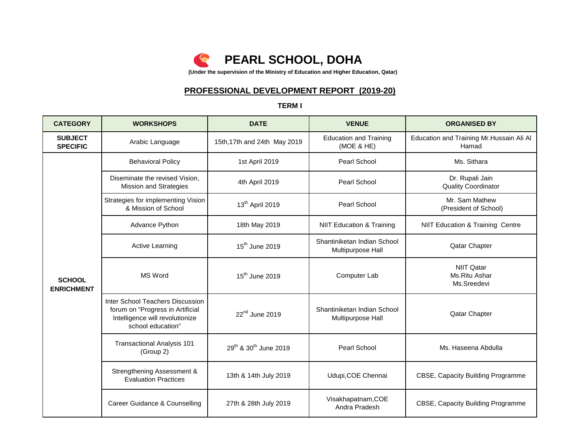

# **PROFESSIONAL DEVELOPMENT REPORT (2019-20)**

### **TERM I**

| <b>CATEGORY</b>                    | <b>WORKSHOPS</b>                                                                                                             | <b>DATE</b>                                   | <b>VENUE</b>                                     | <b>ORGANISED BY</b>                                |
|------------------------------------|------------------------------------------------------------------------------------------------------------------------------|-----------------------------------------------|--------------------------------------------------|----------------------------------------------------|
| <b>SUBJECT</b><br><b>SPECIFIC</b>  | Arabic Language                                                                                                              | 15th, 17th and 24th May 2019                  | <b>Education and Training</b><br>(MOE & HE)      | Education and Training Mr. Hussain Ali Al<br>Hamad |
|                                    | <b>Behavioral Policy</b>                                                                                                     | 1st April 2019                                | Pearl School                                     | Ms. Sithara                                        |
|                                    | Diseminate the revised Vision,<br><b>Mission and Strategies</b>                                                              | 4th April 2019                                | Pearl School                                     | Dr. Rupali Jain<br><b>Quality Coordinator</b>      |
|                                    | Strategies for implementing Vision<br>& Mission of School                                                                    | 13 <sup>th</sup> April 2019                   | Pearl School                                     | Mr. Sam Mathew<br>(President of School)            |
|                                    | Advance Python                                                                                                               | 18th May 2019                                 | <b>NIIT Education &amp; Training</b>             | NIIT Education & Training Centre                   |
|                                    | <b>Active Learning</b>                                                                                                       | 15 <sup>th</sup> June 2019                    | Shantiniketan Indian School<br>Multipurpose Hall | Qatar Chapter                                      |
| <b>SCHOOL</b><br><b>ENRICHMENT</b> | MS Word                                                                                                                      | $15th$ June 2019                              | Computer Lab                                     | <b>NIIT Qatar</b><br>Ms.Ritu Ashar<br>Ms.Sreedevi  |
|                                    | Inter School Teachers Discussion<br>forum on "Progress in Artificial<br>Intelligence will revolutionize<br>school education" | $22nd$ June 2019                              | Shantiniketan Indian School<br>Multipurpose Hall | Qatar Chapter                                      |
|                                    | <b>Transactional Analysis 101</b><br>(Group 2)                                                                               | 29 <sup>th</sup> & 30 <sup>th</sup> June 2019 | Pearl School                                     | Ms. Haseena Abdulla                                |
|                                    | Strengthening Assessment &<br><b>Evaluation Practices</b>                                                                    | 13th & 14th July 2019                         | Udupi, COE Chennai                               | CBSE, Capacity Building Programme                  |
|                                    | Career Guidance & Counselling                                                                                                | 27th & 28th July 2019                         | Visakhapatnam, COE<br>Andra Pradesh              | CBSE, Capacity Building Programme                  |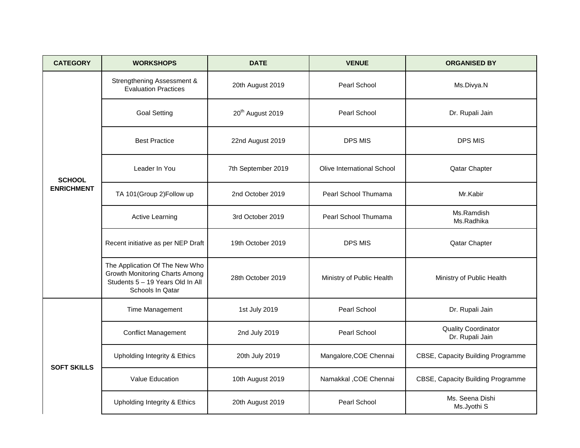| <b>CATEGORY</b>    | <b>WORKSHOPS</b>                                                                                                         | <b>DATE</b>                  | <b>VENUE</b>               | <b>ORGANISED BY</b>                           |
|--------------------|--------------------------------------------------------------------------------------------------------------------------|------------------------------|----------------------------|-----------------------------------------------|
|                    | Strengthening Assessment &<br><b>Evaluation Practices</b>                                                                | 20th August 2019             | Pearl School               | Ms.Divya.N                                    |
|                    | <b>Goal Setting</b>                                                                                                      | 20 <sup>th</sup> August 2019 | Pearl School               | Dr. Rupali Jain                               |
|                    | <b>Best Practice</b>                                                                                                     | 22nd August 2019             | <b>DPS MIS</b>             | <b>DPS MIS</b>                                |
| <b>SCHOOL</b>      | Leader In You                                                                                                            | 7th September 2019           | Olive International School | Qatar Chapter                                 |
| <b>ENRICHMENT</b>  | TA 101(Group 2)Follow up                                                                                                 | 2nd October 2019             | Pearl School Thumama       | Mr.Kabir                                      |
|                    | <b>Active Learning</b>                                                                                                   | 3rd October 2019             | Pearl School Thumama       | Ms.Ramdish<br>Ms.Radhika                      |
|                    | Recent initiative as per NEP Draft                                                                                       | 19th October 2019            | DPS MIS                    | Qatar Chapter                                 |
|                    | The Application Of The New Who<br>Growth Monitoring Charts Among<br>Students 5 - 19 Years Old In All<br>Schools In Qatar | 28th October 2019            | Ministry of Public Health  | Ministry of Public Health                     |
|                    | Time Management                                                                                                          | 1st July 2019                | Pearl School               | Dr. Rupali Jain                               |
| <b>SOFT SKILLS</b> | <b>Conflict Management</b>                                                                                               | 2nd July 2019                | Pearl School               | <b>Quality Coordinator</b><br>Dr. Rupali Jain |
|                    | Upholding Integrity & Ethics                                                                                             | 20th July 2019               | Mangalore, COE Chennai     | CBSE, Capacity Building Programme             |
|                    | Value Education                                                                                                          | 10th August 2019             | Namakkal , COE Chennai     | CBSE, Capacity Building Programme             |
|                    | Upholding Integrity & Ethics                                                                                             | 20th August 2019             | Pearl School               | Ms. Seena Dishi<br>Ms.Jyothi S                |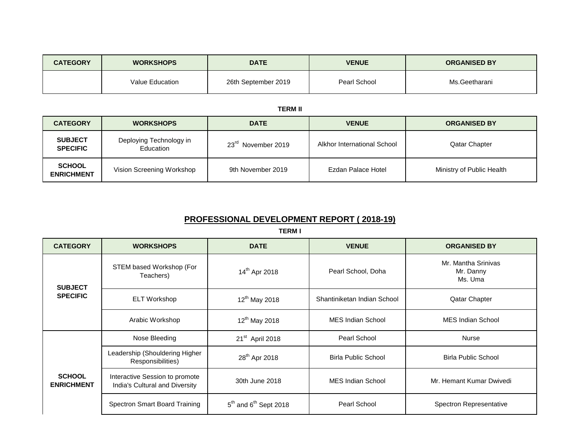| <b>CATEGORY</b> | <b>WORKSHOPS</b> | <b>DATE</b>         | <b>VENUE</b> | <b>ORGANISED BY</b> |
|-----------------|------------------|---------------------|--------------|---------------------|
|                 | Value Education  | 26th September 2019 | Pearl School | Ms.Geetharani       |

#### **TERM II**

| <b>CATEGORY</b>                    | <b>WORKSHOPS</b>                     | <b>DATE</b>                    | <b>VENUE</b>                | <b>ORGANISED BY</b>       |
|------------------------------------|--------------------------------------|--------------------------------|-----------------------------|---------------------------|
| <b>SUBJECT</b><br><b>SPECIFIC</b>  | Deploying Technology in<br>Education | 23 <sup>rd</sup> November 2019 | Alkhor International School | <b>Qatar Chapter</b>      |
| <b>SCHOOL</b><br><b>ENRICHMENT</b> | Vision Screening Workshop            | 9th November 2019              | Ezdan Palace Hotel          | Ministry of Public Health |

## **PROFESSIONAL DEVELOPMENT REPORT ( 2018-19)**

**TERM I**

| <b>CATEGORY</b>                    | <b>WORKSHOPS</b>                                                 | <b>DATE</b>                 | <b>VENUE</b>                | <b>ORGANISED BY</b>                         |
|------------------------------------|------------------------------------------------------------------|-----------------------------|-----------------------------|---------------------------------------------|
| <b>SUBJECT</b><br><b>SPECIFIC</b>  | STEM based Workshop (For<br>Teachers)                            | 14 <sup>th</sup> Apr 2018   | Pearl School, Doha          | Mr. Mantha Srinivas<br>Mr. Danny<br>Ms. Uma |
|                                    | <b>ELT Workshop</b>                                              | $12^{th}$ May 2018          | Shantiniketan Indian School | <b>Qatar Chapter</b>                        |
|                                    | Arabic Workshop                                                  | $12^{th}$ May 2018          | MES Indian School           | MES Indian School                           |
| <b>SCHOOL</b><br><b>ENRICHMENT</b> | Nose Bleeding                                                    | 21 <sup>st</sup> April 2018 | Pearl School                | Nurse                                       |
|                                    | Leadership (Shouldering Higher<br>Responsibilities)              | 28 <sup>th</sup> Apr 2018   | <b>Birla Public School</b>  | <b>Birla Public School</b>                  |
|                                    | Interactive Session to promote<br>India's Cultural and Diversity | 30th June 2018              | <b>MES Indian School</b>    | Mr. Hemant Kumar Dwivedi                    |
|                                    | Spectron Smart Board Training                                    | $5th$ and $6th$ Sept 2018   | Pearl School                | <b>Spectron Representative</b>              |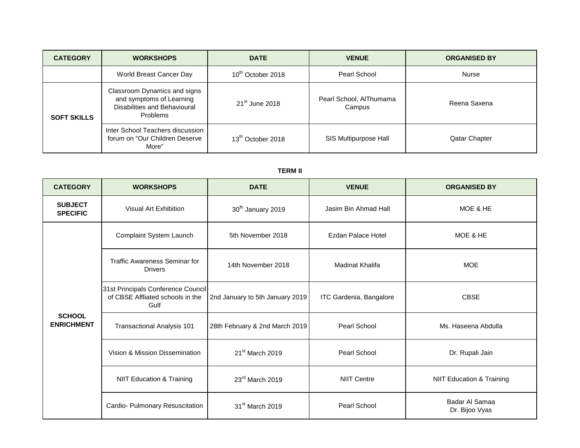| <b>CATEGORY</b>    | <b>WORKSHOPS</b>                                                                                     | <b>DATE</b>                   | <b>VENUE</b>                      | <b>ORGANISED BY</b>  |
|--------------------|------------------------------------------------------------------------------------------------------|-------------------------------|-----------------------------------|----------------------|
|                    | World Breast Cancer Day                                                                              | 10 <sup>th</sup> October 2018 | Pearl School                      | Nurse                |
| <b>SOFT SKILLS</b> | Classroom Dynamics and signs<br>and symptoms of Learning<br>Disabilities and Behavioural<br>Problems | $21st$ June 2018              | Pearl School, AlThumama<br>Campus | Reena Saxena         |
|                    | Inter School Teachers discussion<br>forum on "Our Children Deserve<br>More"                          | 13 <sup>th</sup> October 2018 | SIS Multipurpose Hall             | <b>Qatar Chapter</b> |

### **TERM II**

| <b>CATEGORY</b>                    | <b>WORKSHOPS</b>                                                               | <b>DATE</b>                     | <b>VENUE</b>            | <b>ORGANISED BY</b>                  |
|------------------------------------|--------------------------------------------------------------------------------|---------------------------------|-------------------------|--------------------------------------|
| <b>SUBJECT</b><br><b>SPECIFIC</b>  | Visual Art Exhibition                                                          | 30 <sup>th</sup> January 2019   | Jasim Bin Ahmad Hall    | MOE & HE                             |
| <b>SCHOOL</b><br><b>ENRICHMENT</b> | Complaint System Launch                                                        | 5th November 2018               | Ezdan Palace Hotel      | MOE & HE                             |
|                                    | <b>Traffic Awareness Seminar for</b><br><b>Drivers</b>                         | 14th November 2018              | <b>Madinat Khalifa</b>  | <b>MOE</b>                           |
|                                    | 31st Principals Conference Council<br>of CBSE Affliated schools in the<br>Gulf | 2nd January to 5th January 2019 | ITC Gardenia, Bangalore | <b>CBSE</b>                          |
|                                    | <b>Transactional Analysis 101</b>                                              | 28th February & 2nd March 2019  | Pearl School            | Ms. Haseena Abdulla                  |
|                                    | Vision & Mission Dissemination                                                 | 21 <sup>st</sup> March 2019     | Pearl School            | Dr. Rupali Jain                      |
|                                    | <b>NIIT Education &amp; Training</b>                                           | 23rd March 2019                 | NIIT Centre             | <b>NIIT Education &amp; Training</b> |
|                                    | Cardio- Pulmonary Resuscitation                                                | 31 <sup>st</sup> March 2019     | Pearl School            | Badar Al Samaa<br>Dr. Bijoo Vyas     |